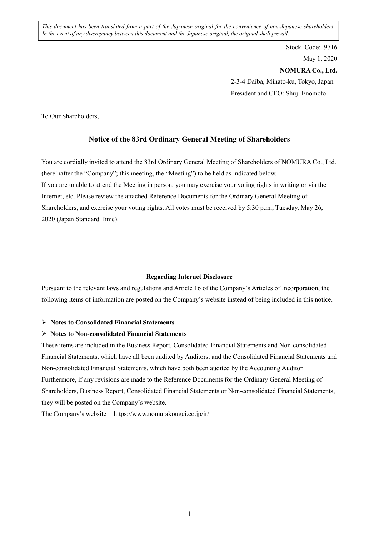*This document has been translated from a part of the Japanese original for the convenience of non-Japanese shareholders. In the event of any discrepancy between this document and the Japanese original, the original shall prevail.*

> Stock Code: 9716 May 1, 2020 **NOMURA Co., Ltd.**  2-3-4 Daiba, Minato-ku, Tokyo, Japan President and CEO: Shuji Enomoto

To Our Shareholders,

### **Notice of the 83rd Ordinary General Meeting of Shareholders**

You are cordially invited to attend the 83rd Ordinary General Meeting of Shareholders of NOMURA Co., Ltd. (hereinafter the "Company"; this meeting, the "Meeting") to be held as indicated below. If you are unable to attend the Meeting in person, you may exercise your voting rights in writing or via the Internet, etc. Please review the attached Reference Documents for the Ordinary General Meeting of Shareholders, and exercise your voting rights. All votes must be received by 5:30 p.m., Tuesday, May 26, 2020 (Japan Standard Time).

#### **Regarding Internet Disclosure**

Pursuant to the relevant laws and regulations and Article 16 of the Company's Articles of Incorporation, the following items of information are posted on the Company's website instead of being included in this notice.

### **Notes to Consolidated Financial Statements**

#### **Notes to Non-consolidated Financial Statements**

These items are included in the Business Report, Consolidated Financial Statements and Non-consolidated Financial Statements, which have all been audited by Auditors, and the Consolidated Financial Statements and Non-consolidated Financial Statements, which have both been audited by the Accounting Auditor. Furthermore, if any revisions are made to the Reference Documents for the Ordinary General Meeting of Shareholders, Business Report, Consolidated Financial Statements or Non-consolidated Financial Statements, they will be posted on the Company's website.

The Company's website https://www.nomurakougei.co.jp/ir/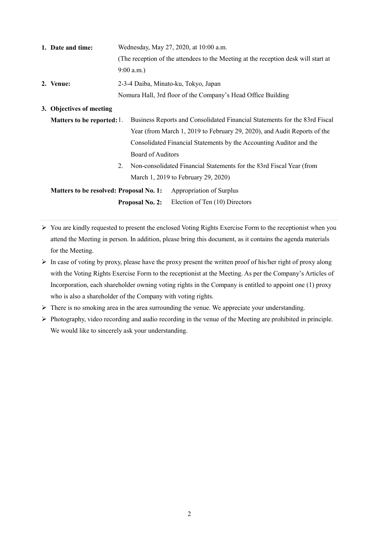| 1. Date and time: | Wednesday, May 27, 2020, at 10:00 a.m.                                             |  |  |  |  |  |
|-------------------|------------------------------------------------------------------------------------|--|--|--|--|--|
|                   | (The reception of the attendees to the Meeting at the reception desk will start at |  |  |  |  |  |
|                   | $9:00$ a.m.)                                                                       |  |  |  |  |  |
| 2. Venue:         | 2-3-4 Daiba, Minato-ku, Tokyo, Japan                                               |  |  |  |  |  |
|                   | Nomura Hall, 3rd floor of the Company's Head Office Building                       |  |  |  |  |  |

**3. Objectives of meeting** 

- **Matters to be reported:** 1. Business Reports and Consolidated Financial Statements for the 83rd Fiscal Year (from March 1, 2019 to February 29, 2020), and Audit Reports of the Consolidated Financial Statements by the Accounting Auditor and the Board of Auditors
	- 2. Non-consolidated Financial Statements for the 83rd Fiscal Year (from March 1, 2019 to February 29, 2020)

**Matters to be resolved: Proposal No. 1:** Appropriation of Surplus **Proposal No. 2:** Election of Ten (10) Directors

- $\triangleright$  You are kindly requested to present the enclosed Voting Rights Exercise Form to the receptionist when you attend the Meeting in person. In addition, please bring this document, as it contains the agenda materials for the Meeting.
- $\triangleright$  In case of voting by proxy, please have the proxy present the written proof of his/her right of proxy along with the Voting Rights Exercise Form to the receptionist at the Meeting. As per the Company's Articles of Incorporation, each shareholder owning voting rights in the Company is entitled to appoint one (1) proxy who is also a shareholder of the Company with voting rights.
- $\triangleright$  There is no smoking area in the area surrounding the venue. We appreciate your understanding.
- $\triangleright$  Photography, video recording and audio recording in the venue of the Meeting are prohibited in principle. We would like to sincerely ask your understanding.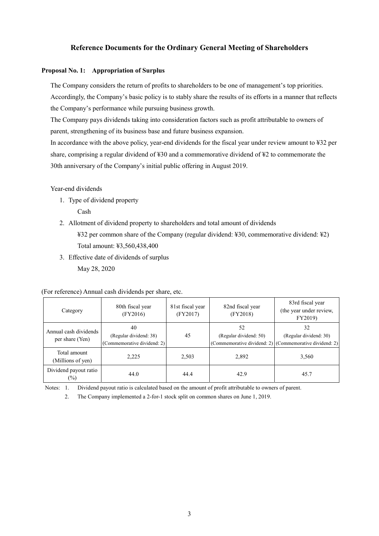# **Reference Documents for the Ordinary General Meeting of Shareholders**

### **Proposal No. 1: Appropriation of Surplus**

The Company considers the return of profits to shareholders to be one of management's top priorities. Accordingly, the Company's basic policy is to stably share the results of its efforts in a manner that reflects the Company's performance while pursuing business growth.

The Company pays dividends taking into consideration factors such as profit attributable to owners of parent, strengthening of its business base and future business expansion.

In accordance with the above policy, year-end dividends for the fiscal year under review amount to ¥32 per share, comprising a regular dividend of ¥30 and a commemorative dividend of ¥2 to commemorate the 30th anniversary of the Company's initial public offering in August 2019.

Year-end dividends

1. Type of dividend property

Cash

2. Allotment of dividend property to shareholders and total amount of dividends

¥32 per common share of the Company (regular dividend: ¥30, commemorative dividend: ¥2) Total amount: ¥3,560,438,400

3. Effective date of dividends of surplus May 28, 2020

(For reference) Annual cash dividends per share, etc.

| Category                                 | 80th fiscal year<br>(FY2016)                                | 81st fiscal year<br>(FY2017) | 82nd fiscal year<br>(FY2018) | 83rd fiscal year<br>(the year under review,<br>FY2019)                                  |
|------------------------------------------|-------------------------------------------------------------|------------------------------|------------------------------|-----------------------------------------------------------------------------------------|
| Annual cash dividends<br>per share (Yen) | 40<br>(Regular dividend: 38)<br>(Commemorative dividend: 2) | 45                           | 52<br>(Regular dividend: 50) | 32<br>(Regular dividend: 30)<br>(Commemorative dividend: 2) (Commemorative dividend: 2) |
| Total amount<br>(Millions of yen)        | 2,225                                                       | 2,503                        | 2,892                        | 3,560                                                                                   |
| Dividend payout ratio<br>$(\%)$          | 44.0                                                        | 44.4                         | 42.9                         | 45.7                                                                                    |

Notes: 1. Dividend payout ratio is calculated based on the amount of profit attributable to owners of parent.

2. The Company implemented a 2-for-1 stock split on common shares on June 1, 2019.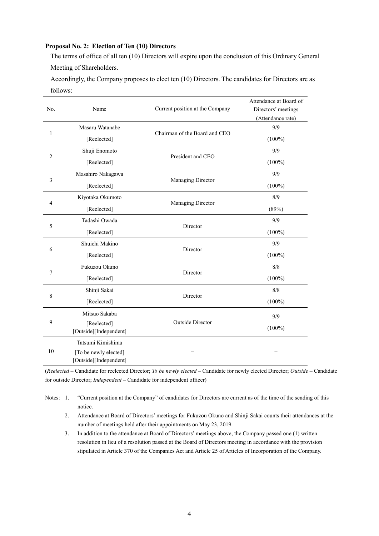## **Proposal No. 2: Election of Ten (10) Directors**

The terms of office of all ten (10) Directors will expire upon the conclusion of this Ordinary General Meeting of Shareholders.

Accordingly, the Company proposes to elect ten (10) Directors. The candidates for Directors are as follows:

| No.            | Name                                                                 | Current position at the Company | Attendance at Board of<br>Directors' meetings<br>(Attendance rate) |
|----------------|----------------------------------------------------------------------|---------------------------------|--------------------------------------------------------------------|
|                | Masaru Watanabe                                                      |                                 | 9/9                                                                |
| $\mathbf{1}$   | [Reelected]                                                          | Chairman of the Board and CEO   | $(100\%)$                                                          |
|                | Shuji Enomoto                                                        |                                 | 9/9                                                                |
| $\overline{2}$ | [Reelected]                                                          | President and CEO               | $(100\%)$                                                          |
|                | Masahiro Nakagawa                                                    |                                 | 9/9                                                                |
| 3              | [Reelected]                                                          | Managing Director               | $(100\%)$                                                          |
|                | Kiyotaka Okumoto                                                     |                                 | 8/9                                                                |
| $\overline{4}$ | [Reelected]                                                          | Managing Director               | (89%)                                                              |
|                | Tadashi Owada                                                        |                                 | 9/9                                                                |
| 5              | [Reelected]                                                          | Director                        | $(100\%)$                                                          |
| 6              | Shuichi Makino                                                       | Director                        | 9/9                                                                |
|                | [Reelected]                                                          |                                 | $(100\%)$                                                          |
|                | Fukuzou Okuno                                                        |                                 | 8/8                                                                |
| 7              | [Reelected]                                                          | Director                        | $(100\%)$                                                          |
|                | Shinji Sakai                                                         |                                 | 8/8                                                                |
| 8              | [Reelected]                                                          | Director                        | $(100\%)$                                                          |
|                | Mitsuo Sakaba                                                        |                                 | 9/9                                                                |
| 9              | [Reelected]<br>[Outside][Independent]                                | <b>Outside Director</b>         | $(100\%)$                                                          |
| 10             | Tatsumi Kimishima<br>[To be newly elected]<br>[Outside][Independent] |                                 |                                                                    |

(*Reelected* – Candidate for reelected Director; *To be newly elected* – Candidate for newly elected Director; *Outside* – Candidate for outside Director; *Independent* – Candidate for independent officer)

Notes: 1. "Current position at the Company" of candidates for Directors are current as of the time of the sending of this notice.

- 2. Attendance at Board of Directors' meetings for Fukuzou Okuno and Shinji Sakai counts their attendances at the number of meetings held after their appointments on May 23, 2019.
- 3. In addition to the attendance at Board of Directors' meetings above, the Company passed one (1) written resolution in lieu of a resolution passed at the Board of Directors meeting in accordance with the provision stipulated in Article 370 of the Companies Act and Article 25 of Articles of Incorporation of the Company.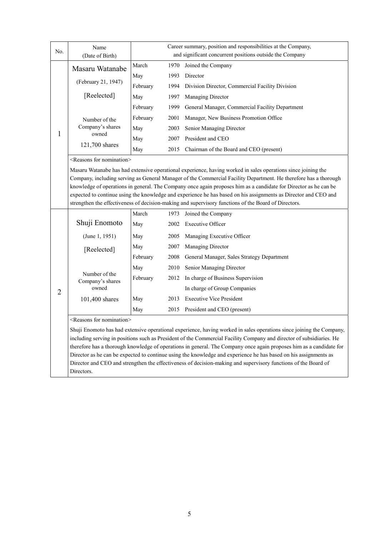| No.            | Name                                                                                                                                                                                                                                                                                                                                                                                                                                                                                                                                                                             | Career summary, position and responsibilities at the Company, |      |                                                                                                                                                                                                                                                                                                                                                                                                                                                                                                                                                                                                           |  |
|----------------|----------------------------------------------------------------------------------------------------------------------------------------------------------------------------------------------------------------------------------------------------------------------------------------------------------------------------------------------------------------------------------------------------------------------------------------------------------------------------------------------------------------------------------------------------------------------------------|---------------------------------------------------------------|------|-----------------------------------------------------------------------------------------------------------------------------------------------------------------------------------------------------------------------------------------------------------------------------------------------------------------------------------------------------------------------------------------------------------------------------------------------------------------------------------------------------------------------------------------------------------------------------------------------------------|--|
|                | (Date of Birth)                                                                                                                                                                                                                                                                                                                                                                                                                                                                                                                                                                  |                                                               |      | and significant concurrent positions outside the Company                                                                                                                                                                                                                                                                                                                                                                                                                                                                                                                                                  |  |
|                | Masaru Watanabe                                                                                                                                                                                                                                                                                                                                                                                                                                                                                                                                                                  | March                                                         | 1970 | Joined the Company                                                                                                                                                                                                                                                                                                                                                                                                                                                                                                                                                                                        |  |
|                | (February 21, 1947)                                                                                                                                                                                                                                                                                                                                                                                                                                                                                                                                                              | May                                                           | 1993 | Director                                                                                                                                                                                                                                                                                                                                                                                                                                                                                                                                                                                                  |  |
|                |                                                                                                                                                                                                                                                                                                                                                                                                                                                                                                                                                                                  | February                                                      | 1994 | Division Director, Commercial Facility Division                                                                                                                                                                                                                                                                                                                                                                                                                                                                                                                                                           |  |
|                | [Reelected]                                                                                                                                                                                                                                                                                                                                                                                                                                                                                                                                                                      | May                                                           | 1997 | Managing Director                                                                                                                                                                                                                                                                                                                                                                                                                                                                                                                                                                                         |  |
|                |                                                                                                                                                                                                                                                                                                                                                                                                                                                                                                                                                                                  | February                                                      | 1999 | General Manager, Commercial Facility Department                                                                                                                                                                                                                                                                                                                                                                                                                                                                                                                                                           |  |
|                | Number of the                                                                                                                                                                                                                                                                                                                                                                                                                                                                                                                                                                    | February                                                      | 2001 | Manager, New Business Promotion Office                                                                                                                                                                                                                                                                                                                                                                                                                                                                                                                                                                    |  |
| $\mathbf{1}$   | Company's shares                                                                                                                                                                                                                                                                                                                                                                                                                                                                                                                                                                 | May                                                           | 2003 | Senior Managing Director                                                                                                                                                                                                                                                                                                                                                                                                                                                                                                                                                                                  |  |
|                | owned                                                                                                                                                                                                                                                                                                                                                                                                                                                                                                                                                                            | May                                                           | 2007 | President and CEO                                                                                                                                                                                                                                                                                                                                                                                                                                                                                                                                                                                         |  |
|                | 121,700 shares                                                                                                                                                                                                                                                                                                                                                                                                                                                                                                                                                                   | May                                                           | 2015 | Chairman of the Board and CEO (present)                                                                                                                                                                                                                                                                                                                                                                                                                                                                                                                                                                   |  |
|                | <reasons for="" nomination=""></reasons>                                                                                                                                                                                                                                                                                                                                                                                                                                                                                                                                         |                                                               |      |                                                                                                                                                                                                                                                                                                                                                                                                                                                                                                                                                                                                           |  |
|                | Masaru Watanabe has had extensive operational experience, having worked in sales operations since joining the<br>Company, including serving as General Manager of the Commercial Facility Department. He therefore has a thorough<br>knowledge of operations in general. The Company once again proposes him as a candidate for Director as he can be<br>expected to continue using the knowledge and experience he has based on his assignments as Director and CEO and<br>strengthen the effectiveness of decision-making and supervisory functions of the Board of Directors. |                                                               |      |                                                                                                                                                                                                                                                                                                                                                                                                                                                                                                                                                                                                           |  |
|                |                                                                                                                                                                                                                                                                                                                                                                                                                                                                                                                                                                                  | March                                                         |      | 1973 Joined the Company                                                                                                                                                                                                                                                                                                                                                                                                                                                                                                                                                                                   |  |
|                | Shuji Enomoto                                                                                                                                                                                                                                                                                                                                                                                                                                                                                                                                                                    | May                                                           | 2002 | <b>Executive Officer</b>                                                                                                                                                                                                                                                                                                                                                                                                                                                                                                                                                                                  |  |
|                | (June 1, 1951)                                                                                                                                                                                                                                                                                                                                                                                                                                                                                                                                                                   | May                                                           | 2005 | Managing Executive Officer                                                                                                                                                                                                                                                                                                                                                                                                                                                                                                                                                                                |  |
|                | [Reelected]                                                                                                                                                                                                                                                                                                                                                                                                                                                                                                                                                                      | May                                                           | 2007 | Managing Director                                                                                                                                                                                                                                                                                                                                                                                                                                                                                                                                                                                         |  |
|                |                                                                                                                                                                                                                                                                                                                                                                                                                                                                                                                                                                                  | February                                                      | 2008 | General Manager, Sales Strategy Department                                                                                                                                                                                                                                                                                                                                                                                                                                                                                                                                                                |  |
|                | Number of the<br>Company's shares<br>owned                                                                                                                                                                                                                                                                                                                                                                                                                                                                                                                                       | May                                                           | 2010 | Senior Managing Director                                                                                                                                                                                                                                                                                                                                                                                                                                                                                                                                                                                  |  |
|                |                                                                                                                                                                                                                                                                                                                                                                                                                                                                                                                                                                                  | February                                                      | 2012 | In charge of Business Supervision                                                                                                                                                                                                                                                                                                                                                                                                                                                                                                                                                                         |  |
| $\overline{2}$ |                                                                                                                                                                                                                                                                                                                                                                                                                                                                                                                                                                                  |                                                               |      | In charge of Group Companies                                                                                                                                                                                                                                                                                                                                                                                                                                                                                                                                                                              |  |
|                | 101,400 shares                                                                                                                                                                                                                                                                                                                                                                                                                                                                                                                                                                   | May                                                           | 2013 | <b>Executive Vice President</b>                                                                                                                                                                                                                                                                                                                                                                                                                                                                                                                                                                           |  |
|                |                                                                                                                                                                                                                                                                                                                                                                                                                                                                                                                                                                                  | May                                                           | 2015 | President and CEO (present)                                                                                                                                                                                                                                                                                                                                                                                                                                                                                                                                                                               |  |
|                | <reasons for="" nomination=""></reasons>                                                                                                                                                                                                                                                                                                                                                                                                                                                                                                                                         |                                                               |      |                                                                                                                                                                                                                                                                                                                                                                                                                                                                                                                                                                                                           |  |
|                |                                                                                                                                                                                                                                                                                                                                                                                                                                                                                                                                                                                  |                                                               |      | Shuji Enomoto has had extensive operational experience, having worked in sales operations since joining the Company,<br>including serving in positions such as President of the Commercial Facility Company and director of subsidiaries. He<br>therefore has a thorough knowledge of operations in general. The Company once again proposes him as a candidate for<br>Director as he can be expected to continue using the knowledge and experience he has based on his assignments as<br>Director and CEO and strengthen the effectiveness of decision-making and supervisory functions of the Board of |  |

Directors.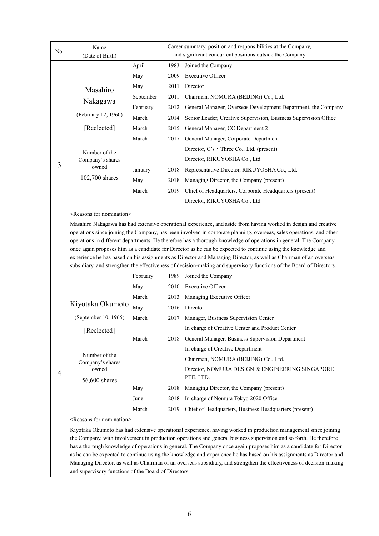| No. | Name<br>(Date of Birth)                                                                                          | Career summary, position and responsibilities at the Company,<br>and significant concurrent positions outside the Company |      |                                                                                                                       |  |  |
|-----|------------------------------------------------------------------------------------------------------------------|---------------------------------------------------------------------------------------------------------------------------|------|-----------------------------------------------------------------------------------------------------------------------|--|--|
|     |                                                                                                                  | April                                                                                                                     | 1983 | Joined the Company                                                                                                    |  |  |
|     |                                                                                                                  | May                                                                                                                       | 2009 | <b>Executive Officer</b>                                                                                              |  |  |
|     |                                                                                                                  | May                                                                                                                       | 2011 | Director                                                                                                              |  |  |
|     | Masahiro                                                                                                         | September                                                                                                                 | 2011 | Chairman, NOMURA (BEIJING) Co., Ltd.                                                                                  |  |  |
|     | Nakagawa                                                                                                         | February                                                                                                                  | 2012 | General Manager, Overseas Development Department, the Company                                                         |  |  |
|     | (February 12, 1960)                                                                                              | March                                                                                                                     | 2014 | Senior Leader, Creative Supervision, Business Supervision Office                                                      |  |  |
|     | [Reelected]                                                                                                      | March                                                                                                                     | 2015 | General Manager, CC Department 2                                                                                      |  |  |
|     |                                                                                                                  | March                                                                                                                     | 2017 | General Manager, Corporate Department                                                                                 |  |  |
|     | Number of the                                                                                                    |                                                                                                                           |      | Director, $C$ 's $\cdot$ Three Co., Ltd. (present)                                                                    |  |  |
|     | Company's shares                                                                                                 |                                                                                                                           |      | Director, RIKUYOSHA Co., Ltd.                                                                                         |  |  |
| 3   | owned                                                                                                            | January                                                                                                                   | 2018 | Representative Director, RIKUYOSHA Co., Ltd.                                                                          |  |  |
|     | 102,700 shares                                                                                                   | May                                                                                                                       | 2018 | Managing Director, the Company (present)                                                                              |  |  |
|     |                                                                                                                  | March                                                                                                                     | 2019 | Chief of Headquarters, Corporate Headquarters (present)                                                               |  |  |
|     |                                                                                                                  |                                                                                                                           |      | Director, RIKUYOSHA Co., Ltd.                                                                                         |  |  |
|     | <reasons for="" nomination=""></reasons>                                                                         |                                                                                                                           |      |                                                                                                                       |  |  |
|     |                                                                                                                  |                                                                                                                           |      | Masahiro Nakagawa has had extensive operational experience, and aside from having worked in design and creative       |  |  |
|     |                                                                                                                  |                                                                                                                           |      | operations since joining the Company, has been involved in corporate planning, overseas, sales operations, and other  |  |  |
|     |                                                                                                                  |                                                                                                                           |      | operations in different departments. He therefore has a thorough knowledge of operations in general. The Company      |  |  |
|     |                                                                                                                  |                                                                                                                           |      | once again proposes him as a candidate for Director as he can be expected to continue using the knowledge and         |  |  |
|     | experience he has based on his assignments as Director and Managing Director, as well as Chairman of an overseas |                                                                                                                           |      |                                                                                                                       |  |  |
|     |                                                                                                                  |                                                                                                                           |      | subsidiary, and strengthen the effectiveness of decision-making and supervisory functions of the Board of Directors.  |  |  |
|     |                                                                                                                  | February                                                                                                                  | 1989 | Joined the Company                                                                                                    |  |  |
|     |                                                                                                                  | May                                                                                                                       | 2010 | <b>Executive Officer</b>                                                                                              |  |  |
|     |                                                                                                                  | March                                                                                                                     | 2013 | Managing Executive Officer                                                                                            |  |  |
|     | Kiyotaka Okumoto                                                                                                 | May                                                                                                                       | 2016 | Director                                                                                                              |  |  |
|     | (September 10, 1965)                                                                                             | March                                                                                                                     | 2017 | Manager, Business Supervision Center                                                                                  |  |  |
|     | [Reelected]                                                                                                      |                                                                                                                           |      | In charge of Creative Center and Product Center                                                                       |  |  |
|     |                                                                                                                  | March                                                                                                                     | 2018 | General Manager, Business Supervision Department                                                                      |  |  |
|     |                                                                                                                  |                                                                                                                           |      | In charge of Creative Department                                                                                      |  |  |
|     | Number of the<br>Company's shares                                                                                |                                                                                                                           |      | Chairman, NOMURA (BEIJING) Co., Ltd.                                                                                  |  |  |
| 4   | owned                                                                                                            |                                                                                                                           |      | Director, NOMURA DESIGN & ENGINEERING SINGAPORE                                                                       |  |  |
|     | 56,600 shares                                                                                                    |                                                                                                                           |      | PTE. LTD.                                                                                                             |  |  |
|     |                                                                                                                  | May                                                                                                                       | 2018 | Managing Director, the Company (present)                                                                              |  |  |
|     |                                                                                                                  | June                                                                                                                      | 2018 | In charge of Nomura Tokyo 2020 Office                                                                                 |  |  |
|     |                                                                                                                  | March                                                                                                                     | 2019 | Chief of Headquarters, Business Headquarters (present)                                                                |  |  |
|     | <reasons for="" nomination=""></reasons>                                                                         |                                                                                                                           |      |                                                                                                                       |  |  |
|     |                                                                                                                  |                                                                                                                           |      | Kiyotaka Okumoto has had extensive operational experience, having worked in production management since joining       |  |  |
|     |                                                                                                                  |                                                                                                                           |      | the Company, with involvement in production operations and general business supervision and so forth. He therefore    |  |  |
|     |                                                                                                                  |                                                                                                                           |      | has a thorough knowledge of operations in general. The Company once again proposes him as a candidate for Director    |  |  |
|     |                                                                                                                  |                                                                                                                           |      | as he can be expected to continue using the knowledge and experience he has based on his assignments as Director and  |  |  |
|     |                                                                                                                  |                                                                                                                           |      | Managing Director, as well as Chairman of an overseas subsidiary, and strengthen the effectiveness of decision-making |  |  |

and supervisory functions of the Board of Directors.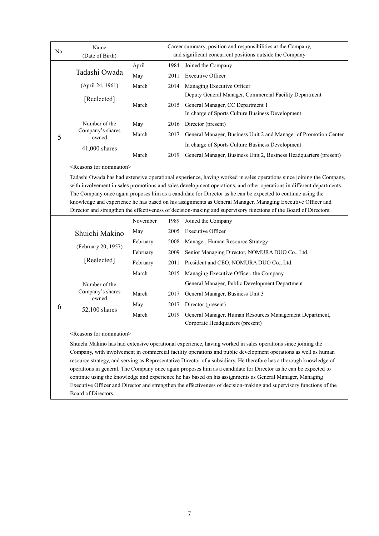| No. | Name                                                                                                        |          |      | Career summary, position and responsibilities at the Company,<br>and significant concurrent positions outside the Company |  |  |
|-----|-------------------------------------------------------------------------------------------------------------|----------|------|---------------------------------------------------------------------------------------------------------------------------|--|--|
|     | (Date of Birth)                                                                                             |          |      |                                                                                                                           |  |  |
|     | Tadashi Owada                                                                                               | April    | 1984 | Joined the Company                                                                                                        |  |  |
|     |                                                                                                             | May      | 2011 | <b>Executive Officer</b>                                                                                                  |  |  |
|     | (April 24, 1961)                                                                                            | March    | 2014 | Managing Executive Officer<br>Deputy General Manager, Commercial Facility Department                                      |  |  |
|     | [Reelected]                                                                                                 | March    | 2015 | General Manager, CC Department 1                                                                                          |  |  |
|     |                                                                                                             |          |      | In charge of Sports Culture Business Development                                                                          |  |  |
|     | Number of the                                                                                               | May      | 2016 | Director (present)                                                                                                        |  |  |
| 5   | Company's shares<br>owned                                                                                   | March    | 2017 | General Manager, Business Unit 2 and Manager of Promotion Center                                                          |  |  |
|     | 41,000 shares                                                                                               |          |      | In charge of Sports Culture Business Development                                                                          |  |  |
|     |                                                                                                             | March    | 2019 | General Manager, Business Unit 2, Business Headquarters (present)                                                         |  |  |
|     | <reasons for="" nomination=""></reasons>                                                                    |          |      |                                                                                                                           |  |  |
|     |                                                                                                             |          |      | Tadashi Owada has had extensive operational experience, having worked in sales operations since joining the Company,      |  |  |
|     |                                                                                                             |          |      | with involvement in sales promotions and sales development operations, and other operations in different departments.     |  |  |
|     |                                                                                                             |          |      | The Company once again proposes him as a candidate for Director as he can be expected to continue using the               |  |  |
|     | knowledge and experience he has based on his assignments as General Manager, Managing Executive Officer and |          |      |                                                                                                                           |  |  |
|     |                                                                                                             |          |      | Director and strengthen the effectiveness of decision-making and supervisory functions of the Board of Directors.         |  |  |
|     |                                                                                                             | November | 1989 | Joined the Company                                                                                                        |  |  |
|     | Shuichi Makino                                                                                              | May      | 2005 | <b>Executive Officer</b>                                                                                                  |  |  |
|     | (February 20, 1957)                                                                                         | February | 2008 | Manager, Human Resource Strategy                                                                                          |  |  |
|     |                                                                                                             | February | 2009 | Senior Managing Director, NOMURA DUO Co., Ltd.                                                                            |  |  |
|     | [Reelected]                                                                                                 | February | 2011 | President and CEO, NOMURA DUO Co., Ltd.                                                                                   |  |  |
|     |                                                                                                             | March    | 2015 | Managing Executive Officer, the Company                                                                                   |  |  |
|     | Number of the                                                                                               |          |      | General Manager, Public Development Department                                                                            |  |  |
|     | Company's shares<br>owned                                                                                   | March    |      | 2017 General Manager, Business Unit 3                                                                                     |  |  |
| 6   | 52,100 shares                                                                                               | May      | 2017 | Director (present)                                                                                                        |  |  |
|     |                                                                                                             | March    | 2019 | General Manager, Human Resources Management Department,                                                                   |  |  |
|     |                                                                                                             |          |      | Corporate Headquarters (present)                                                                                          |  |  |
|     | <reasons for="" nomination=""></reasons>                                                                    |          |      |                                                                                                                           |  |  |
|     |                                                                                                             |          |      | Shuichi Makino has had extensive operational experience, having worked in sales operations since joining the              |  |  |
|     |                                                                                                             |          |      | Company, with involvement in commercial facility operations and public development operations as well as human            |  |  |

resource strategy, and serving as Representative Director of a subsidiary. He therefore has a thorough knowledge of operations in general. The Company once again proposes him as a candidate for Director as he can be expected to continue using the knowledge and experience he has based on his assignments as General Manager, Managing Executive Officer and Director and strengthen the effectiveness of decision-making and supervisory functions of the Board of Directors.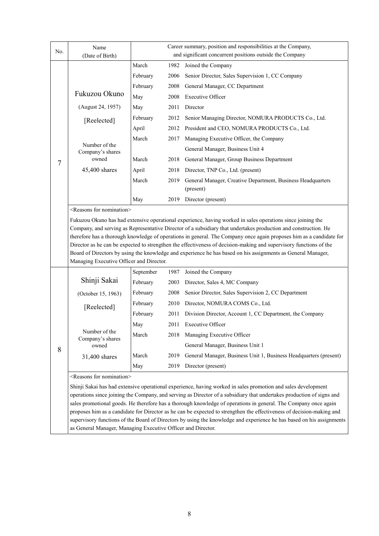| No. | Name<br>(Date of Birth)                  | Career summary, position and responsibilities at the Company,<br>and significant concurrent positions outside the Company |      |                                                                                                                                                                                                                                                                                                                                                                                                                                                                                                                                                                                                             |  |  |
|-----|------------------------------------------|---------------------------------------------------------------------------------------------------------------------------|------|-------------------------------------------------------------------------------------------------------------------------------------------------------------------------------------------------------------------------------------------------------------------------------------------------------------------------------------------------------------------------------------------------------------------------------------------------------------------------------------------------------------------------------------------------------------------------------------------------------------|--|--|
|     |                                          | March                                                                                                                     | 1982 | Joined the Company                                                                                                                                                                                                                                                                                                                                                                                                                                                                                                                                                                                          |  |  |
|     |                                          | February                                                                                                                  | 2006 | Senior Director, Sales Supervision 1, CC Company                                                                                                                                                                                                                                                                                                                                                                                                                                                                                                                                                            |  |  |
|     |                                          | February                                                                                                                  | 2008 | General Manager, CC Department                                                                                                                                                                                                                                                                                                                                                                                                                                                                                                                                                                              |  |  |
|     | Fukuzou Okuno                            | May                                                                                                                       | 2008 | <b>Executive Officer</b>                                                                                                                                                                                                                                                                                                                                                                                                                                                                                                                                                                                    |  |  |
|     | (August 24, 1957)                        | May                                                                                                                       | 2011 | Director                                                                                                                                                                                                                                                                                                                                                                                                                                                                                                                                                                                                    |  |  |
|     | [Reelected]                              | February                                                                                                                  | 2012 | Senior Managing Director, NOMURA PRODUCTS Co., Ltd.                                                                                                                                                                                                                                                                                                                                                                                                                                                                                                                                                         |  |  |
|     |                                          | April                                                                                                                     | 2012 | President and CEO, NOMURA PRODUCTS Co., Ltd.                                                                                                                                                                                                                                                                                                                                                                                                                                                                                                                                                                |  |  |
|     |                                          | March                                                                                                                     | 2017 | Managing Executive Officer, the Company                                                                                                                                                                                                                                                                                                                                                                                                                                                                                                                                                                     |  |  |
|     | Number of the<br>Company's shares        |                                                                                                                           |      | General Manager, Business Unit 4                                                                                                                                                                                                                                                                                                                                                                                                                                                                                                                                                                            |  |  |
| 7   | owned                                    | March                                                                                                                     | 2018 | General Manager, Group Business Department                                                                                                                                                                                                                                                                                                                                                                                                                                                                                                                                                                  |  |  |
|     | 45,400 shares                            | April                                                                                                                     | 2018 | Director, TNP Co., Ltd. (present)                                                                                                                                                                                                                                                                                                                                                                                                                                                                                                                                                                           |  |  |
|     |                                          | March                                                                                                                     | 2019 | General Manager, Creative Department, Business Headquarters<br>(present)                                                                                                                                                                                                                                                                                                                                                                                                                                                                                                                                    |  |  |
|     |                                          | May                                                                                                                       | 2019 | Director (present)                                                                                                                                                                                                                                                                                                                                                                                                                                                                                                                                                                                          |  |  |
|     | <reasons for="" nomination=""></reasons> |                                                                                                                           |      |                                                                                                                                                                                                                                                                                                                                                                                                                                                                                                                                                                                                             |  |  |
|     | Managing Executive Officer and Director. |                                                                                                                           |      | Company, and serving as Representative Director of a subsidiary that undertakes production and construction. He<br>therefore has a thorough knowledge of operations in general. The Company once again proposes him as a candidate for<br>Director as he can be expected to strengthen the effectiveness of decision-making and supervisory functions of the<br>Board of Directors by using the knowledge and experience he has based on his assignments as General Manager,                                                                                                                                |  |  |
|     |                                          | September                                                                                                                 | 1987 | Joined the Company                                                                                                                                                                                                                                                                                                                                                                                                                                                                                                                                                                                          |  |  |
|     | Shinji Sakai                             | February                                                                                                                  | 2003 | Director, Sales 4, MC Company                                                                                                                                                                                                                                                                                                                                                                                                                                                                                                                                                                               |  |  |
|     | (October 15, 1963)                       | February                                                                                                                  | 2008 | Senior Director, Sales Supervision 2, CC Department                                                                                                                                                                                                                                                                                                                                                                                                                                                                                                                                                         |  |  |
|     |                                          | February                                                                                                                  | 2010 | Director, NOMURA COMS Co., Ltd.                                                                                                                                                                                                                                                                                                                                                                                                                                                                                                                                                                             |  |  |
|     | [Reelected]                              | February                                                                                                                  | 2011 | Division Director, Account 1, CC Department, the Company                                                                                                                                                                                                                                                                                                                                                                                                                                                                                                                                                    |  |  |
|     |                                          | May                                                                                                                       |      | 2011 Executive Officer                                                                                                                                                                                                                                                                                                                                                                                                                                                                                                                                                                                      |  |  |
|     | Number of the<br>Company's shares        | March                                                                                                                     | 2018 | Managing Executive Officer                                                                                                                                                                                                                                                                                                                                                                                                                                                                                                                                                                                  |  |  |
| 8   | owned                                    |                                                                                                                           |      | General Manager, Business Unit 1                                                                                                                                                                                                                                                                                                                                                                                                                                                                                                                                                                            |  |  |
|     | 31,400 shares                            | March                                                                                                                     | 2019 | General Manager, Business Unit 1, Business Headquarters (present)                                                                                                                                                                                                                                                                                                                                                                                                                                                                                                                                           |  |  |
|     |                                          | May                                                                                                                       | 2019 | Director (present)                                                                                                                                                                                                                                                                                                                                                                                                                                                                                                                                                                                          |  |  |
|     | <reasons for="" nomination=""></reasons> |                                                                                                                           |      |                                                                                                                                                                                                                                                                                                                                                                                                                                                                                                                                                                                                             |  |  |
|     |                                          |                                                                                                                           |      | Shinji Sakai has had extensive operational experience, having worked in sales promotion and sales development<br>operations since joining the Company, and serving as Director of a subsidiary that undertakes production of signs and<br>sales promotional goods. He therefore has a thorough knowledge of operations in general. The Company once again<br>proposes him as a candidate for Director as he can be expected to strengthen the effectiveness of decision-making and<br>supervisory functions of the Board of Directors by using the knowledge and experience he has based on his assignments |  |  |

as General Manager, Managing Executive Officer and Director.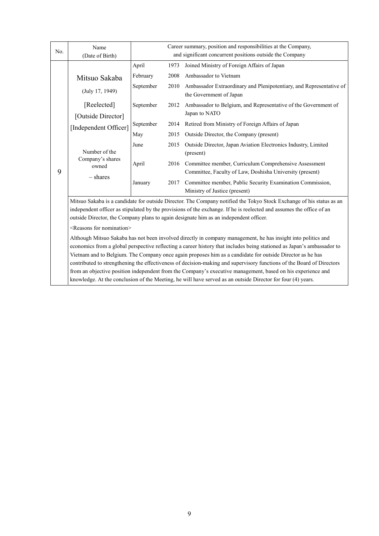| No. | Name                                                                                                                   | Career summary, position and responsibilities at the Company, |      |                                                                                                |  |  |  |
|-----|------------------------------------------------------------------------------------------------------------------------|---------------------------------------------------------------|------|------------------------------------------------------------------------------------------------|--|--|--|
|     | (Date of Birth)                                                                                                        | and significant concurrent positions outside the Company      |      |                                                                                                |  |  |  |
|     |                                                                                                                        | April                                                         | 1973 | Joined Ministry of Foreign Affairs of Japan                                                    |  |  |  |
|     | Mitsuo Sakaba                                                                                                          | February                                                      | 2008 | Ambassador to Vietnam                                                                          |  |  |  |
|     | (July 17, 1949)                                                                                                        | September                                                     | 2010 | Ambassador Extraordinary and Plenipotentiary, and Representative of<br>the Government of Japan |  |  |  |
|     | [Reelected]                                                                                                            | September                                                     | 2012 | Ambassador to Belgium, and Representative of the Government of                                 |  |  |  |
|     | [Outside Director]                                                                                                     |                                                               |      | Japan to NATO                                                                                  |  |  |  |
|     | [Independent Officer]                                                                                                  | September                                                     | 2014 | Retired from Ministry of Foreign Affairs of Japan                                              |  |  |  |
|     |                                                                                                                        | May                                                           | 2015 | Outside Director, the Company (present)                                                        |  |  |  |
|     |                                                                                                                        | June                                                          | 2015 | Outside Director, Japan Aviation Electronics Industry, Limited                                 |  |  |  |
|     | Number of the                                                                                                          |                                                               |      | (present)                                                                                      |  |  |  |
|     | Company's shares<br>owned                                                                                              | April                                                         |      | 2016 Committee member, Curriculum Comprehensive Assessment                                     |  |  |  |
| 9   | $-$ shares                                                                                                             |                                                               |      | Committee, Faculty of Law, Doshisha University (present)                                       |  |  |  |
|     |                                                                                                                        | January                                                       | 2017 | Committee member, Public Security Examination Commission,                                      |  |  |  |
|     |                                                                                                                        |                                                               |      | Ministry of Justice (present)                                                                  |  |  |  |
|     | Mitsuo Sakaba is a candidate for outside Director. The Company notified the Tokyo Stock Exchange of his status as an   |                                                               |      |                                                                                                |  |  |  |
|     | independent officer as stipulated by the provisions of the exchange. If he is reelected and assumes the office of an   |                                                               |      |                                                                                                |  |  |  |
|     | outside Director, the Company plans to again designate him as an independent officer.                                  |                                                               |      |                                                                                                |  |  |  |
|     | <reasons for="" nomination=""></reasons>                                                                               |                                                               |      |                                                                                                |  |  |  |
|     | Although Mitsuo Sakaba has not been involved directly in company management, he has insight into politics and          |                                                               |      |                                                                                                |  |  |  |
|     | economics from a global perspective reflecting a career history that includes being stationed as Japan's ambassador to |                                                               |      |                                                                                                |  |  |  |
|     | Vietnam and to Belgium. The Company once again proposes him as a candidate for outside Director as he has              |                                                               |      |                                                                                                |  |  |  |
|     | contributed to strengthening the effectiveness of decision-making and supervisory functions of the Board of Directors  |                                                               |      |                                                                                                |  |  |  |
|     | from an objective position independent from the Company's executive management, based on his experience and            |                                                               |      |                                                                                                |  |  |  |
|     | knowledge. At the conclusion of the Meeting, he will have served as an outside Director for four (4) years.            |                                                               |      |                                                                                                |  |  |  |